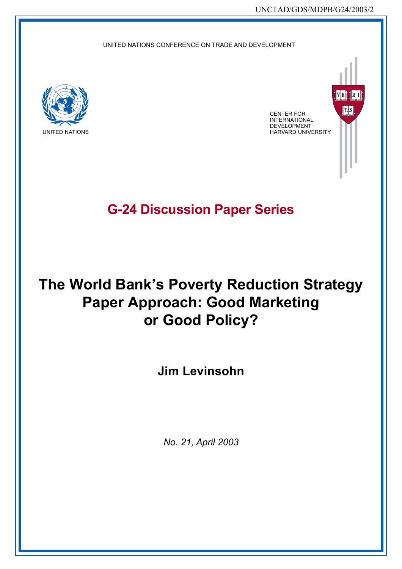#### UNITED NATIONS CONFERENCE ON TRADE AND DEVELOPMENT



 $\|$ TAS $\|$ CENTER FOR INTERNATIONAL DEVELOPMENT HARVARD UNIVERSITY

# **G-24 Discussion Paper Series**

# **The World Bank's Poverty Reduction Strategy Paper Approach: Good Marketing or Good Policy?**

**Jim Levinsohn**

*No. 21, April 2003*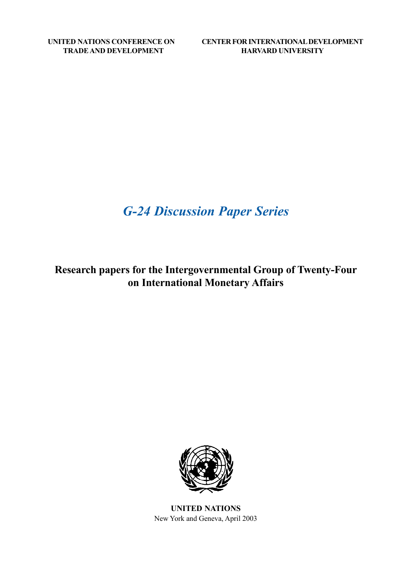# *G-24 Discussion Paper Series*

**Research papers for the Intergovernmental Group of Twenty-Four on International Monetary Affairs**



**UNITED NATIONS** New York and Geneva, April 2003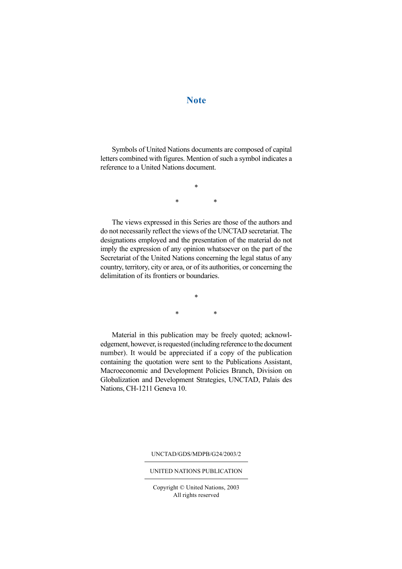# **Note**

Symbols of United Nations documents are composed of capital letters combined with figures. Mention of such a symbol indicates a reference to a United Nations document.

> \* \* \*

The views expressed in this Series are those of the authors and do not necessarily reflect the views of the UNCTAD secretariat. The designations employed and the presentation of the material do not imply the expression of any opinion whatsoever on the part of the Secretariat of the United Nations concerning the legal status of any country, territory, city or area, or of its authorities, or concerning the delimitation of its frontiers or boundaries.

> \* \* \*

Material in this publication may be freely quoted; acknowledgement, however, is requested (including reference to the document number). It would be appreciated if a copy of the publication containing the quotation were sent to the Publications Assistant, Macroeconomic and Development Policies Branch, Division on Globalization and Development Strategies, UNCTAD, Palais des Nations, CH-1211 Geneva 10.

UNCTAD/GDS/MDPB/G24/2003/2

#### UNITED NATIONS PUBLICATION

Copyright © United Nations, 2003 All rights reserved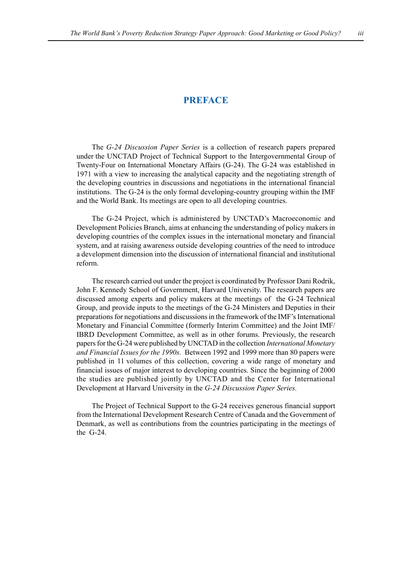## **PREFACE**

The *G-24 Discussion Paper Series* is a collection of research papers prepared under the UNCTAD Project of Technical Support to the Intergovernmental Group of Twenty-Four on International Monetary Affairs (G-24). The G-24 was established in 1971 with a view to increasing the analytical capacity and the negotiating strength of the developing countries in discussions and negotiations in the international financial institutions. The G-24 is the only formal developing-country grouping within the IMF and the World Bank. Its meetings are open to all developing countries.

The G-24 Project, which is administered by UNCTAD's Macroeconomic and Development Policies Branch, aims at enhancing the understanding of policy makers in developing countries of the complex issues in the international monetary and financial system, and at raising awareness outside developing countries of the need to introduce a development dimension into the discussion of international financial and institutional reform.

The research carried out under the project is coordinated by Professor Dani Rodrik, John F. Kennedy School of Government, Harvard University. The research papers are discussed among experts and policy makers at the meetings of the G-24 Technical Group, and provide inputs to the meetings of the G-24 Ministers and Deputies in their preparations for negotiations and discussions in the framework of the IMF's International Monetary and Financial Committee (formerly Interim Committee) and the Joint IMF/ IBRD Development Committee, as well as in other forums. Previously, the research papers for the G-24 were published by UNCTAD in the collection *International Monetary and Financial Issues for the 1990s.* Between 1992 and 1999 more than 80 papers were published in 11 volumes of this collection, covering a wide range of monetary and financial issues of major interest to developing countries. Since the beginning of 2000 the studies are published jointly by UNCTAD and the Center for International Development at Harvard University in the *G-24 Discussion Paper Series.*

The Project of Technical Support to the G-24 receives generous financial support from the International Development Research Centre of Canada and the Government of Denmark, as well as contributions from the countries participating in the meetings of the G-24.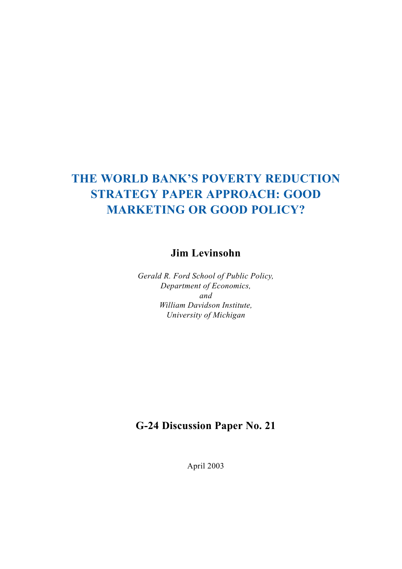# **THE WORLD BANK'S POVERTY REDUCTION STRATEGY PAPER APPROACH: GOOD MARKETING OR GOOD POLICY?**

**Jim Levinsohn**

*Gerald R. Ford School of Public Policy, Department of Economics, and William Davidson Institute, University of Michigan*

# **G-24 Discussion Paper No. 21**

April 2003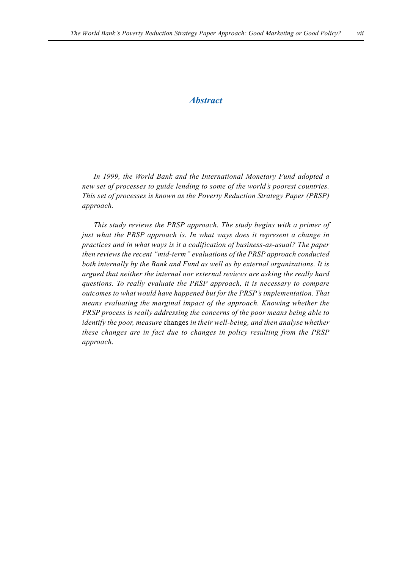## *Abstract*

*In 1999, the World Bank and the International Monetary Fund adopted a new set of processes to guide lending to some of the world's poorest countries. This set of processes is known as the Poverty Reduction Strategy Paper (PRSP) approach.*

*This study reviews the PRSP approach. The study begins with a primer of just what the PRSP approach is. In what ways does it represent a change in practices and in what ways is it a codification of business-as-usual? The paper then reviews the recent "mid-term" evaluations of the PRSP approach conducted both internally by the Bank and Fund as well as by external organizations. It is argued that neither the internal nor external reviews are asking the really hard questions. To really evaluate the PRSP approach, it is necessary to compare outcomes to what would have happened but for the PRSP's implementation. That means evaluating the marginal impact of the approach. Knowing whether the PRSP process is really addressing the concerns of the poor means being able to identify the poor, measure* changes *in their well-being, and then analyse whether these changes are in fact due to changes in policy resulting from the PRSP approach.*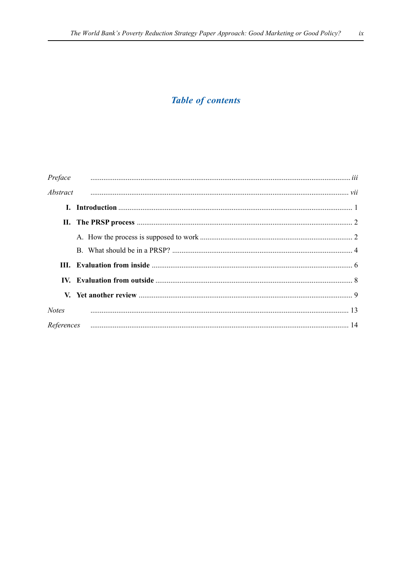# **Table of contents**

| Preface      |                                                                                                                                                                                                                                |  |
|--------------|--------------------------------------------------------------------------------------------------------------------------------------------------------------------------------------------------------------------------------|--|
|              | Abstract manufacturers and the contract of the contract of the contract of the contract of the contract of the contract of the contract of the contract of the contract of the contract of the contract of the contract of the |  |
|              |                                                                                                                                                                                                                                |  |
|              |                                                                                                                                                                                                                                |  |
|              |                                                                                                                                                                                                                                |  |
|              |                                                                                                                                                                                                                                |  |
|              |                                                                                                                                                                                                                                |  |
|              |                                                                                                                                                                                                                                |  |
|              |                                                                                                                                                                                                                                |  |
| <b>Notes</b> |                                                                                                                                                                                                                                |  |
|              |                                                                                                                                                                                                                                |  |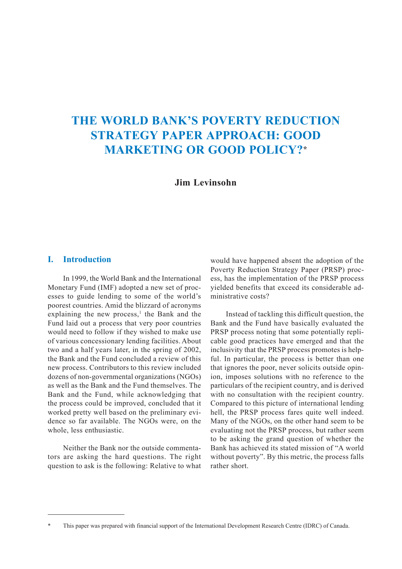# **THE WORLD BANK'S POVERTY REDUCTION STRATEGY PAPER APPROACH: GOOD MARKETING OR GOOD POLICY?\***

**Jim Levinsohn**

## **I. Introduction**

In 1999, the World Bank and the International Monetary Fund (IMF) adopted a new set of processes to guide lending to some of the world's poorest countries. Amid the blizzard of acronyms explaining the new process, $<sup>1</sup>$  the Bank and the</sup> Fund laid out a process that very poor countries would need to follow if they wished to make use of various concessionary lending facilities. About two and a half years later, in the spring of 2002, the Bank and the Fund concluded a review of this new process. Contributors to this review included dozens of non-governmental organizations (NGOs) as well as the Bank and the Fund themselves. The Bank and the Fund, while acknowledging that the process could be improved, concluded that it worked pretty well based on the preliminary evidence so far available. The NGOs were, on the whole, less enthusiastic.

Neither the Bank nor the outside commentators are asking the hard questions. The right question to ask is the following: Relative to what would have happened absent the adoption of the Poverty Reduction Strategy Paper (PRSP) process, has the implementation of the PRSP process yielded benefits that exceed its considerable administrative costs?

Instead of tackling this difficult question, the Bank and the Fund have basically evaluated the PRSP process noting that some potentially replicable good practices have emerged and that the inclusivity that the PRSP process promotes is helpful. In particular, the process is better than one that ignores the poor, never solicits outside opinion, imposes solutions with no reference to the particulars of the recipient country, and is derived with no consultation with the recipient country. Compared to this picture of international lending hell, the PRSP process fares quite well indeed. Many of the NGOs, on the other hand seem to be evaluating not the PRSP process, but rather seem to be asking the grand question of whether the Bank has achieved its stated mission of "A world without poverty". By this metric, the process falls rather short.

<sup>\*</sup> This paper was prepared with financial support of the International Development Research Centre (IDRC) of Canada.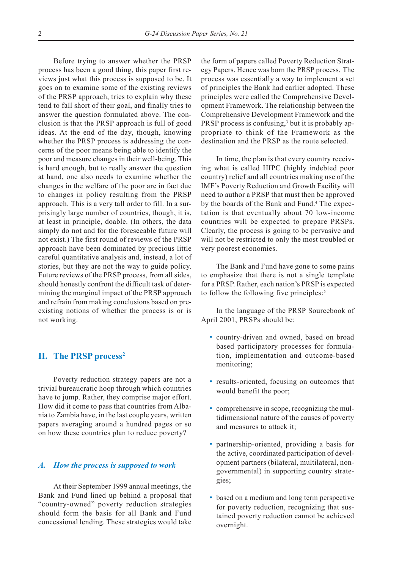Before trying to answer whether the PRSP process has been a good thing, this paper first reviews just what this process is supposed to be. It goes on to examine some of the existing reviews of the PRSP approach, tries to explain why these tend to fall short of their goal, and finally tries to answer the question formulated above. The conclusion is that the PRSP approach is full of good ideas. At the end of the day, though, knowing whether the PRSP process is addressing the concerns of the poor means being able to identify the poor and measure changes in their well-being. This is hard enough, but to really answer the question at hand, one also needs to examine whether the changes in the welfare of the poor are in fact due to changes in policy resulting from the PRSP approach. This is a very tall order to fill. In a surprisingly large number of countries, though, it is, at least in principle, doable. (In others, the data simply do not and for the foreseeable future will not exist.) The first round of reviews of the PRSP approach have been dominated by precious little careful quantitative analysis and, instead, a lot of stories, but they are not the way to guide policy. Future reviews of the PRSP process, from all sides, should honestly confront the difficult task of determining the marginal impact of the PRSP approach and refrain from making conclusions based on preexisting notions of whether the process is or is not working.

### **II.** The PRSP process<sup>2</sup>

Poverty reduction strategy papers are not a trivial bureaucratic hoop through which countries have to jump. Rather, they comprise major effort. How did it come to pass that countries from Albania to Zambia have, in the last couple years, written papers averaging around a hundred pages or so on how these countries plan to reduce poverty?

#### *A. How the process is supposed to work*

At their September 1999 annual meetings, the Bank and Fund lined up behind a proposal that "country-owned" poverty reduction strategies should form the basis for all Bank and Fund concessional lending. These strategies would take

the form of papers called Poverty Reduction Strategy Papers. Hence was born the PRSP process. The process was essentially a way to implement a set of principles the Bank had earlier adopted. These principles were called the Comprehensive Development Framework. The relationship between the Comprehensive Development Framework and the PRSP process is confusing,<sup>3</sup> but it is probably appropriate to think of the Framework as the destination and the PRSP as the route selected.

In time, the plan is that every country receiving what is called HIPC (highly indebted poor country) relief and all countries making use of the IMF's Poverty Reduction and Growth Facility will need to author a PRSP that must then be approved by the boards of the Bank and Fund.<sup>4</sup> The expectation is that eventually about 70 low-income countries will be expected to prepare PRSPs. Clearly, the process is going to be pervasive and will not be restricted to only the most troubled or very poorest economies.

The Bank and Fund have gone to some pains to emphasize that there is not a single template for a PRSP. Rather, each nation's PRSP is expected to follow the following five principles: $5$ 

In the language of the PRSP Sourcebook of April 2001, PRSPs should be:

- country-driven and owned, based on broad based participatory processes for formulation, implementation and outcome-based monitoring;
- results-oriented, focusing on outcomes that would benefit the poor;
- comprehensive in scope, recognizing the multidimensional nature of the causes of poverty and measures to attack it;
- partnership-oriented, providing a basis for the active, coordinated participation of development partners (bilateral, multilateral, nongovernmental) in supporting country strategies;
- based on a medium and long term perspective for poverty reduction, recognizing that sustained poverty reduction cannot be achieved overnight.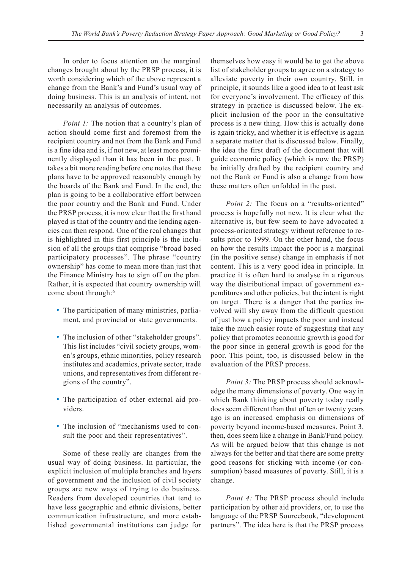In order to focus attention on the marginal changes brought about by the PRSP process, it is worth considering which of the above represent a change from the Bank's and Fund's usual way of doing business. This is an analysis of intent, not necessarily an analysis of outcomes.

*Point 1:* The notion that a country's plan of action should come first and foremost from the recipient country and not from the Bank and Fund is a fine idea and is, if not new, at least more prominently displayed than it has been in the past. It takes a bit more reading before one notes that these plans have to be approved reasonably enough by the boards of the Bank and Fund. In the end, the plan is going to be a collaborative effort between the poor country and the Bank and Fund. Under the PRSP process, it is now clear that the first hand played is that of the country and the lending agencies can then respond. One of the real changes that is highlighted in this first principle is the inclusion of all the groups that comprise "broad based participatory processes". The phrase "country ownership" has come to mean more than just that the Finance Ministry has to sign off on the plan. Rather, it is expected that country ownership will come about through:<sup>6</sup>

- The participation of many ministries, parliament, and provincial or state governments.
- The inclusion of other "stakeholder groups". This list includes "civil society groups, women's groups, ethnic minorities, policy research institutes and academics, private sector, trade unions, and representatives from different regions of the country".
- The participation of other external aid providers.
- The inclusion of "mechanisms used to consult the poor and their representatives".

Some of these really are changes from the usual way of doing business. In particular, the explicit inclusion of multiple branches and layers of government and the inclusion of civil society groups are new ways of trying to do business. Readers from developed countries that tend to have less geographic and ethnic divisions, better communication infrastructure, and more established governmental institutions can judge for themselves how easy it would be to get the above list of stakeholder groups to agree on a strategy to alleviate poverty in their own country. Still, in principle, it sounds like a good idea to at least ask for everyone's involvement. The efficacy of this strategy in practice is discussed below. The explicit inclusion of the poor in the consultative process is a new thing. How this is actually done is again tricky, and whether it is effective is again a separate matter that is discussed below. Finally, the idea the first draft of the document that will guide economic policy (which is now the PRSP) be initially drafted by the recipient country and not the Bank or Fund is also a change from how these matters often unfolded in the past.

*Point 2:* The focus on a "results-oriented" process is hopefully not new. It is clear what the alternative is, but few seem to have advocated a process-oriented strategy without reference to results prior to 1999. On the other hand, the focus on how the results impact the poor is a marginal (in the positive sense) change in emphasis if not content. This is a very good idea in principle. In practice it is often hard to analyse in a rigorous way the distributional impact of government expenditures and other policies, but the intent is right on target. There is a danger that the parties involved will shy away from the difficult question of just how a policy impacts the poor and instead take the much easier route of suggesting that any policy that promotes economic growth is good for the poor since in general growth is good for the poor. This point, too, is discussed below in the evaluation of the PRSP process.

*Point 3:* The PRSP process should acknowledge the many dimensions of poverty. One way in which Bank thinking about poverty today really does seem different than that of ten or twenty years ago is an increased emphasis on dimensions of poverty beyond income-based measures. Point 3, then, does seem like a change in Bank/Fund policy. As will be argued below that this change is not always for the better and that there are some pretty good reasons for sticking with income (or consumption) based measures of poverty. Still, it is a change.

*Point 4:* The PRSP process should include participation by other aid providers, or, to use the language of the PRSP Sourcebook, "development partners". The idea here is that the PRSP process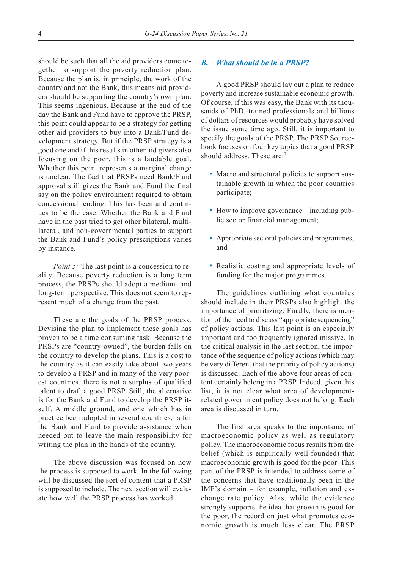should be such that all the aid providers come together to support the poverty reduction plan. Because the plan is, in principle, the work of the country and not the Bank, this means aid providers should be supporting the country's own plan. This seems ingenious. Because at the end of the day the Bank and Fund have to approve the PRSP, this point could appear to be a strategy for getting other aid providers to buy into a Bank/Fund development strategy. But if the PRSP strategy is a good one and if this results in other aid givers also focusing on the poor, this is a laudable goal. Whether this point represents a marginal change is unclear. The fact that PRSPs need Bank/Fund approval still gives the Bank and Fund the final say on the policy environment required to obtain concessional lending. This has been and continues to be the case. Whether the Bank and Fund have in the past tried to get other bilateral, multilateral, and non-governmental parties to support the Bank and Fund's policy prescriptions varies by instance.

*Point 5:* The last point is a concession to reality. Because poverty reduction is a long term process, the PRSPs should adopt a medium- and long-term perspective. This does not seem to represent much of a change from the past.

These are the goals of the PRSP process. Devising the plan to implement these goals has proven to be a time consuming task. Because the PRSPs are "country-owned", the burden falls on the country to develop the plans. This is a cost to the country as it can easily take about two years to develop a PRSP and in many of the very poorest countries, there is not a surplus of qualified talent to draft a good PRSP. Still, the alternative is for the Bank and Fund to develop the PRSP itself. A middle ground, and one which has in practice been adopted in several countries, is for the Bank and Fund to provide assistance when needed but to leave the main responsibility for writing the plan in the hands of the country.

The above discussion was focused on how the process is supposed to work. In the following will be discussed the sort of content that a PRSP is supposed to include. The next section will evaluate how well the PRSP process has worked.

#### *B. What should be in a PRSP?*

A good PRSP should lay out a plan to reduce poverty and increase sustainable economic growth. Of course, if this was easy, the Bank with its thousands of PhD.-trained professionals and billions of dollars of resources would probably have solved the issue some time ago. Still, it is important to specify the goals of the PRSP. The PRSP Sourcebook focuses on four key topics that a good PRSP should address. These are:7

- Macro and structural policies to support sustainable growth in which the poor countries participate;
- How to improve governance including public sector financial management;
- Appropriate sectoral policies and programmes; and
- Realistic costing and appropriate levels of funding for the major programmes.

The guidelines outlining what countries should include in their PRSPs also highlight the importance of prioritizing. Finally, there is mention of the need to discuss "appropriate sequencing" of policy actions. This last point is an especially important and too frequently ignored missive. In the critical analysis in the last section, the importance of the sequence of policy actions (which may be very different that the priority of policy actions) is discussed. Each of the above four areas of content certainly belong in a PRSP. Indeed, given this list, it is not clear what area of developmentrelated government policy does not belong. Each area is discussed in turn.

The first area speaks to the importance of macroeconomic policy as well as regulatory policy. The macroeconomic focus results from the belief (which is empirically well-founded) that macroeconomic growth is good for the poor. This part of the PRSP is intended to address some of the concerns that have traditionally been in the IMF's domain – for example, inflation and exchange rate policy. Alas, while the evidence strongly supports the idea that growth is good for the poor, the record on just what promotes economic growth is much less clear. The PRSP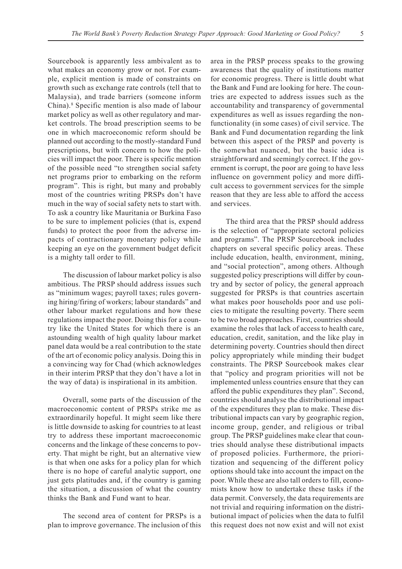Sourcebook is apparently less ambivalent as to what makes an economy grow or not. For example, explicit mention is made of constraints on growth such as exchange rate controls (tell that to Malaysia), and trade barriers (someone inform China).8 Specific mention is also made of labour market policy as well as other regulatory and market controls. The broad prescription seems to be one in which macroeconomic reform should be planned out according to the mostly-standard Fund prescriptions, but with concern to how the policies will impact the poor. There is specific mention of the possible need "to strengthen social safety net programs prior to embarking on the reform program". This is right, but many and probably most of the countries writing PRSPs don't have much in the way of social safety nets to start with. To ask a country like Mauritania or Burkina Faso to be sure to implement policies (that is, expend funds) to protect the poor from the adverse impacts of contractionary monetary policy while keeping an eye on the government budget deficit is a mighty tall order to fill.

The discussion of labour market policy is also ambitious. The PRSP should address issues such as "minimum wages; payroll taxes; rules governing hiring/firing of workers; labour standards" and other labour market regulations and how these regulations impact the poor. Doing this for a country like the United States for which there is an astounding wealth of high quality labour market panel data would be a real contribution to the state of the art of economic policy analysis. Doing this in a convincing way for Chad (which acknowledges in their interim PRSP that they don't have a lot in the way of data) is inspirational in its ambition.

Overall, some parts of the discussion of the macroeconomic content of PRSPs strike me as extraordinarily hopeful. It might seem like there is little downside to asking for countries to at least try to address these important macroeconomic concerns and the linkage of these concerns to poverty. That might be right, but an alternative view is that when one asks for a policy plan for which there is no hope of careful analytic support, one just gets platitudes and, if the country is gaming the situation, a discussion of what the country thinks the Bank and Fund want to hear.

The second area of content for PRSPs is a plan to improve governance. The inclusion of this area in the PRSP process speaks to the growing awareness that the quality of institutions matter for economic progress. There is little doubt what the Bank and Fund are looking for here. The countries are expected to address issues such as the accountability and transparency of governmental expenditures as well as issues regarding the nonfunctionality (in some cases) of civil service. The Bank and Fund documentation regarding the link between this aspect of the PRSP and poverty is the somewhat nuanced, but the basic idea is straightforward and seemingly correct. If the government is corrupt, the poor are going to have less influence on government policy and more difficult access to government services for the simple reason that they are less able to afford the access and services.

The third area that the PRSP should address is the selection of "appropriate sectoral policies and programs". The PRSP Sourcebook includes chapters on several specific policy areas. These include education, health, environment, mining, and "social protection", among others. Although suggested policy prescriptions will differ by country and by sector of policy, the general approach suggested for PRSPs is that countries ascertain what makes poor households poor and use policies to mitigate the resulting poverty. There seem to be two broad approaches. First, countries should examine the roles that lack of access to health care, education, credit, sanitation, and the like play in determining poverty. Countries should then direct policy appropriately while minding their budget constraints. The PRSP Sourcebook makes clear that "policy and program priorities will not be implemented unless countries ensure that they can afford the public expenditures they plan". Second, countries should analyse the distributional impact of the expenditures they plan to make. These distributional impacts can vary by geographic region, income group, gender, and religious or tribal group. The PRSP guidelines make clear that countries should analyse these distributional impacts of proposed policies. Furthermore, the prioritization and sequencing of the different policy options should take into account the impact on the poor. While these are also tall orders to fill, economists know how to undertake these tasks if the data permit. Conversely, the data requirements are not trivial and requiring information on the distributional impact of policies when the data to fulfil this request does not now exist and will not exist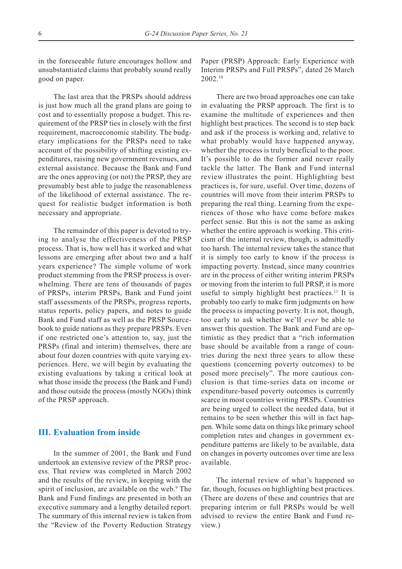in the foreseeable future encourages hollow and unsubstantiated claims that probably sound really good on paper.

The last area that the PRSPs should address is just how much all the grand plans are going to cost and to essentially propose a budget. This requirement of the PRSP ties in closely with the first requirement, macroeconomic stability. The budgetary implications for the PRSPs need to take account of the possibility of shifting existing expenditures, raising new government revenues, and external assistance. Because the Bank and Fund are the ones approving (or not) the PRSP, they are presumably best able to judge the reasonableness of the likelihood of external assistance. The request for realistic budget information is both necessary and appropriate.

The remainder of this paper is devoted to trying to analyse the effectiveness of the PRSP process. That is, how well has it worked and what lessons are emerging after about two and a half years experience? The simple volume of work product stemming from the PRSP process is overwhelming. There are tens of thousands of pages of PRSPs, interim PRSPs, Bank and Fund joint staff assessments of the PRSPs, progress reports, status reports, policy papers, and notes to guide Bank and Fund staff as well as the PRSP Sourcebook to guide nations as they prepare PRSPs. Even if one restricted one's attention to, say, just the PRSPs (final and interim) themselves, there are about four dozen countries with quite varying experiences. Here, we will begin by evaluating the existing evaluations by taking a critical look at what those inside the process (the Bank and Fund) and those outside the process (mostly NGOs) think of the PRSP approach.

### **III. Evaluation from inside**

In the summer of 2001, the Bank and Fund undertook an extensive review of the PRSP process. That review was completed in March 2002 and the results of the review, in keeping with the spirit of inclusion, are available on the web.<sup>9</sup> The Bank and Fund findings are presented in both an executive summary and a lengthy detailed report. The summary of this internal review is taken from the "Review of the Poverty Reduction Strategy Paper (PRSP) Approach: Early Experience with Interim PRSPs and Full PRSPs", dated 26 March 2002.10

There are two broad approaches one can take in evaluating the PRSP approach. The first is to examine the multitude of experiences and then highlight best practices. The second is to step back and ask if the process is working and, relative to what probably would have happened anyway, whether the process is truly beneficial to the poor. It's possible to do the former and never really tackle the latter. The Bank and Fund internal review illustrates the point. Highlighting best practices is, for sure, useful. Over time, dozens of countries will move from their interim PRSPs to preparing the real thing. Learning from the experiences of those who have come before makes perfect sense. But this is not the same as asking whether the entire approach is working. This criticism of the internal review, though, is admittedly too harsh. The internal review takes the stance that it is simply too early to know if the process is impacting poverty. Instead, since many countries are in the process of either writing interim PRSPs or moving from the interim to full PRSP, it is more useful to simply highlight best practices.<sup>11</sup> It is probably too early to make firm judgments on how the process is impacting poverty. It is not, though, too early to ask whether we'll *ever* be able to answer this question. The Bank and Fund are optimistic as they predict that a "rich information base should be available from a range of countries during the next three years to allow these questions (concerning poverty outcomes) to be posed more precisely". The more cautious conclusion is that time-series data on income or expenditure-based poverty outcomes is currently scarce in most countries writing PRSPs. Countries are being urged to collect the needed data, but it remains to be seen whether this will in fact happen. While some data on things like primary school completion rates and changes in government expenditure patterns are likely to be available, data on changes in poverty outcomes over time are less available.

The internal review of what's happened so far, though, focuses on highlighting best practices. (There are dozens of these and countries that are preparing interim or full PRSPs would be well advised to review the entire Bank and Fund review.)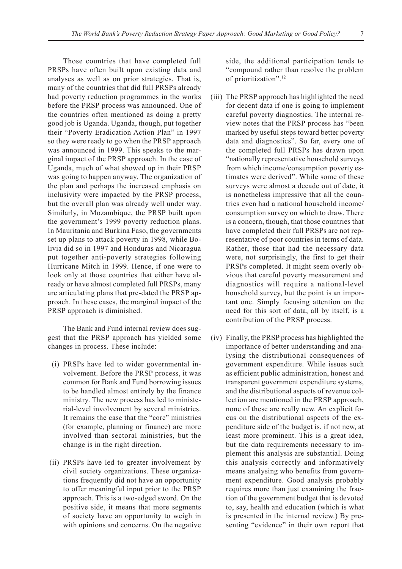Those countries that have completed full PRSPs have often built upon existing data and analyses as well as on prior strategies. That is, many of the countries that did full PRSPs already had poverty reduction programmes in the works before the PRSP process was announced. One of the countries often mentioned as doing a pretty good job is Uganda. Uganda, though, put together their "Poverty Eradication Action Plan" in 1997 so they were ready to go when the PRSP approach was announced in 1999. This speaks to the marginal impact of the PRSP approach. In the case of Uganda, much of what showed up in their PRSP was going to happen anyway. The organization of the plan and perhaps the increased emphasis on inclusivity were impacted by the PRSP process, but the overall plan was already well under way. Similarly, in Mozambique, the PRSP built upon the government's 1999 poverty reduction plans. In Mauritania and Burkina Faso, the governments set up plans to attack poverty in 1998, while Bolivia did so in 1997 and Honduras and Nicaragua put together anti-poverty strategies following Hurricane Mitch in 1999. Hence, if one were to look only at those countries that either have already or have almost completed full PRSPs, many are articulating plans that pre-dated the PRSP approach. In these cases, the marginal impact of the PRSP approach is diminished.

The Bank and Fund internal review does suggest that the PRSP approach has yielded some changes in process. These include:

- (i) PRSPs have led to wider governmental involvement. Before the PRSP process, it was common for Bank and Fund borrowing issues to be handled almost entirely by the finance ministry. The new process has led to ministerial-level involvement by several ministries. It remains the case that the "core" ministries (for example, planning or finance) are more involved than sectoral ministries, but the change is in the right direction.
- (ii) PRSPs have led to greater involvement by civil society organizations. These organizations frequently did not have an opportunity to offer meaningful input prior to the PRSP approach. This is a two-edged sword. On the positive side, it means that more segments of society have an opportunity to weigh in with opinions and concerns. On the negative

side, the additional participation tends to "compound rather than resolve the problem of prioritization".12

- (iii) The PRSP approach has highlighted the need for decent data if one is going to implement careful poverty diagnostics. The internal review notes that the PRSP process has "been marked by useful steps toward better poverty data and diagnostics". So far, every one of the completed full PRSPs has drawn upon "nationally representative household surveys from which income/consumption poverty estimates were derived". While some of these surveys were almost a decade out of date, it is nonetheless impressive that all the countries even had a national household income/ consumption survey on which to draw. There is a concern, though, that those countries that have completed their full PRSPs are not representative of poor countries in terms of data. Rather, those that had the necessary data were, not surprisingly, the first to get their PRSPs completed. It might seem overly obvious that careful poverty measurement and diagnostics will require a national-level household survey, but the point is an important one. Simply focusing attention on the need for this sort of data, all by itself, is a contribution of the PRSP process.
- (iv) Finally, the PRSP process has highlighted the importance of better understanding and analysing the distributional consequences of government expenditure. While issues such as efficient public administration, honest and transparent government expenditure systems, and the distributional aspects of revenue collection are mentioned in the PRSP approach, none of these are really new. An explicit focus on the distributional aspects of the expenditure side of the budget is, if not new, at least more prominent. This is a great idea, but the data requirements necessary to implement this analysis are substantial. Doing this analysis correctly and informatively means analysing who benefits from government expenditure. Good analysis probably requires more than just examining the fraction of the government budget that is devoted to, say, health and education (which is what is presented in the internal review.) By presenting "evidence" in their own report that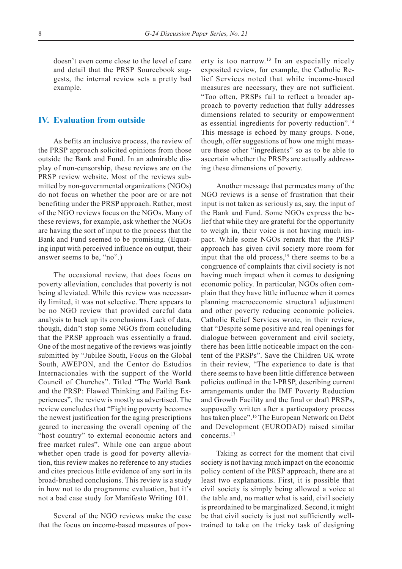doesn't even come close to the level of care and detail that the PRSP Sourcebook suggests, the internal review sets a pretty bad example.

#### **IV. Evaluation from outside**

As befits an inclusive process, the review of the PRSP approach solicited opinions from those outside the Bank and Fund. In an admirable display of non-censorship, these reviews are on the PRSP review website. Most of the reviews submitted by non-governmental organizations (NGOs) do not focus on whether the poor are or are not benefiting under the PRSP approach. Rather, most of the NGO reviews focus on the NGOs. Many of these reviews, for example, ask whether the NGOs are having the sort of input to the process that the Bank and Fund seemed to be promising. (Equating input with perceived influence on output, their answer seems to be, "no".)

The occasional review, that does focus on poverty alleviation, concludes that poverty is not being alleviated. While this review was necessarily limited, it was not selective. There appears to be no NGO review that provided careful data analysis to back up its conclusions. Lack of data, though, didn't stop some NGOs from concluding that the PRSP approach was essentially a fraud. One of the most negative of the reviews was jointly submitted by "Jubilee South, Focus on the Global South, AWEPON, and the Centor do Estudios Internacionales with the support of the World Council of Churches". Titled "The World Bank and the PRSP: Flawed Thinking and Failing Experiences", the review is mostly as advertised. The review concludes that "Fighting poverty becomes the newest justification for the aging prescriptions geared to increasing the overall opening of the "host country" to external economic actors and free market rules". While one can argue about whether open trade is good for poverty alleviation, this review makes no reference to any studies and cites precious little evidence of any sort in its broad-brushed conclusions. This review is a study in how not to do programme evaluation, but it's not a bad case study for Manifesto Writing 101.

Several of the NGO reviews make the case that the focus on income-based measures of poverty is too narrow.<sup>13</sup> In an especially nicely exposited review, for example, the Catholic Relief Services noted that while income-based measures are necessary, they are not sufficient. "Too often, PRSPs fail to reflect a broader approach to poverty reduction that fully addresses dimensions related to security or empowerment as essential ingredients for poverty reduction".14 This message is echoed by many groups. None, though, offer suggestions of how one might measure these other "ingredients" so as to be able to ascertain whether the PRSPs are actually addressing these dimensions of poverty.

Another message that permeates many of the NGO reviews is a sense of frustration that their input is not taken as seriously as, say, the input of the Bank and Fund. Some NGOs express the belief that while they are grateful for the opportunity to weigh in, their voice is not having much impact. While some NGOs remark that the PRSP approach has given civil society more room for input that the old process,<sup>15</sup> there seems to be a congruence of complaints that civil society is not having much impact when it comes to designing economic policy. In particular, NGOs often complain that they have little influence when it comes planning macroeconomic structural adjustment and other poverty reducing economic policies. Catholic Relief Services wrote, in their review, that "Despite some positive and real openings for dialogue between government and civil society, there has been little noticeable impact on the content of the PRSPs". Save the Children UK wrote in their review, "The experience to date is that there seems to have been little difference between policies outlined in the I-PRSP, describing current arrangements under the IMF Poverty Reduction and Growth Facility and the final or draft PRSPs, supposedly written after a particupatory process has taken place".<sup>16</sup> The European Network on Debt and Development (EURODAD) raised similar concerns.17

Taking as correct for the moment that civil society is not having much impact on the economic policy content of the PRSP approach, there are at least two explanations. First, it is possible that civil society is simply being allowed a voice at the table and, no matter what is said, civil society is preordained to be marginalized. Second, it might be that civil society is just not sufficiently welltrained to take on the tricky task of designing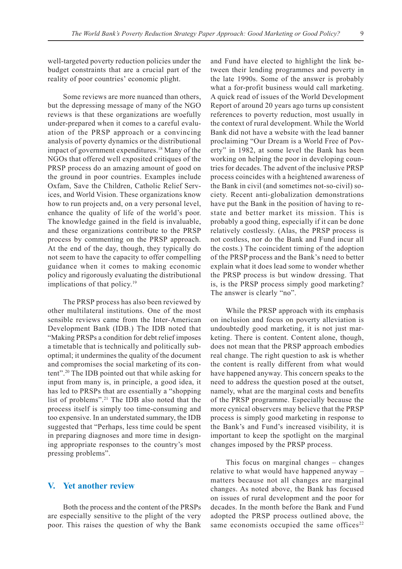well-targeted poverty reduction policies under the budget constraints that are a crucial part of the reality of poor countries' economic plight.

Some reviews are more nuanced than others, but the depressing message of many of the NGO reviews is that these organizations are woefully under-prepared when it comes to a careful evaluation of the PRSP approach or a convincing analysis of poverty dynamics or the distributional impact of government expenditures.<sup>18</sup> Many of the NGOs that offered well exposited critiques of the PRSP process do an amazing amount of good on the ground in poor countries. Examples include Oxfam, Save the Children, Catholic Relief Services, and World Vision. These organizations know how to run projects and, on a very personal level, enhance the quality of life of the world's poor. The knowledge gained in the field is invaluable, and these organizations contribute to the PRSP process by commenting on the PRSP approach. At the end of the day, though, they typically do not seem to have the capacity to offer compelling guidance when it comes to making economic policy and rigorously evaluating the distributional implications of that policy.<sup>19</sup>

The PRSP process has also been reviewed by other multilateral institutions. One of the most sensible reviews came from the Inter-American Development Bank (IDB.) The IDB noted that "Making PRSPs a condition for debt relief imposes a timetable that is technically and politically suboptimal; it undermines the quality of the document and compromises the social marketing of its content".20 The IDB pointed out that while asking for input from many is, in principle, a good idea, it has led to PRSPs that are essentially a "shopping list of problems".21 The IDB also noted that the process itself is simply too time-consuming and too expensive. In an understated summary, the IDB suggested that "Perhaps, less time could be spent in preparing diagnoses and more time in designing appropriate responses to the country's most pressing problems".

### **V. Yet another review**

Both the process and the content of the PRSPs are especially sensitive to the plight of the very poor. This raises the question of why the Bank and Fund have elected to highlight the link between their lending programmes and poverty in the late 1990s. Some of the answer is probably what a for-profit business would call marketing. A quick read of issues of the World Development Report of around 20 years ago turns up consistent references to poverty reduction, most usually in the context of rural development. While the World Bank did not have a website with the lead banner proclaiming "Our Dream is a World Free of Poverty" in 1982, at some level the Bank has been working on helping the poor in developing countries for decades. The advent of the inclusive PRSP process coincides with a heightened awareness of the Bank in civil (and sometimes not-so-civil) society. Recent anti-globalization demonstrations have put the Bank in the position of having to restate and better market its mission. This is probably a good thing, especially if it can be done relatively costlessly. (Alas, the PRSP process is not costless, nor do the Bank and Fund incur all the costs.) The coincident timing of the adoption of the PRSP process and the Bank's need to better explain what it does lead some to wonder whether the PRSP process is but window dressing. That is, is the PRSP process simply good marketing? The answer is clearly "no".

While the PRSP approach with its emphasis on inclusion and focus on poverty alleviation is undoubtedly good marketing, it is not just marketing. There is content. Content alone, though, does not mean that the PRSP approach embodies real change. The right question to ask is whether the content is really different from what would have happened anyway. This concern speaks to the need to address the question posed at the outset, namely, what are the marginal costs and benefits of the PRSP programme. Especially because the more cynical observers may believe that the PRSP process is simply good marketing in response to the Bank's and Fund's increased visibility, it is important to keep the spotlight on the marginal changes imposed by the PRSP process.

This focus on marginal changes – changes relative to what would have happened anyway – matters because not all changes are marginal changes. As noted above, the Bank has focused on issues of rural development and the poor for decades. In the month before the Bank and Fund adopted the PRSP process outlined above, the same economists occupied the same offices<sup>22</sup>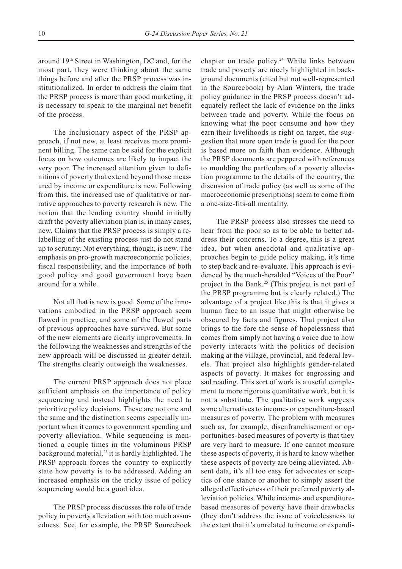around 19th Street in Washington, DC and, for the most part, they were thinking about the same things before and after the PRSP process was institutionalized. In order to address the claim that the PRSP process is more than good marketing, it is necessary to speak to the marginal net benefit of the process.

The inclusionary aspect of the PRSP approach, if not new, at least receives more prominent billing. The same can be said for the explicit focus on how outcomes are likely to impact the very poor. The increased attention given to definitions of poverty that extend beyond those measured by income or expenditure is new. Following from this, the increased use of qualitative or narrative approaches to poverty research is new. The notion that the lending country should initially draft the poverty alleviation plan is, in many cases, new. Claims that the PRSP process is simply a relabelling of the existing process just do not stand up to scrutiny. Not everything, though, is new. The emphasis on pro-growth macroeconomic policies, fiscal responsibility, and the importance of both good policy and good government have been around for a while.

Not all that is new is good. Some of the innovations embodied in the PRSP approach seem flawed in practice, and some of the flawed parts of previous approaches have survived. But some of the new elements are clearly improvements. In the following the weaknesses and strengths of the new approach will be discussed in greater detail. The strengths clearly outweigh the weaknesses.

The current PRSP approach does not place sufficient emphasis on the importance of policy sequencing and instead highlights the need to prioritize policy decisions. These are not one and the same and the distinction seems especially important when it comes to government spending and poverty alleviation. While sequencing is mentioned a couple times in the voluminous PRSP background material,<sup>23</sup> it is hardly highlighted. The PRSP approach forces the country to explicitly state how poverty is to be addressed. Adding an increased emphasis on the tricky issue of policy sequencing would be a good idea.

The PRSP process discusses the role of trade policy in poverty alleviation with too much assuredness. See, for example, the PRSP Sourcebook chapter on trade policy.24 While links between trade and poverty are nicely highlighted in background documents (cited but not well-represented in the Sourcebook) by Alan Winters, the trade policy guidance in the PRSP process doesn't adequately reflect the lack of evidence on the links between trade and poverty. While the focus on knowing what the poor consume and how they earn their livelihoods is right on target, the suggestion that more open trade is good for the poor is based more on faith than evidence. Although the PRSP documents are peppered with references to moulding the particulars of a poverty alleviation programme to the details of the country, the discussion of trade policy (as well as some of the macroeconomic prescriptions) seem to come from a one-size-fits-all mentality.

The PRSP process also stresses the need to hear from the poor so as to be able to better address their concerns. To a degree, this is a great idea, but when anecdotal and qualitative approaches begin to guide policy making, it's time to step back and re-evaluate. This approach is evidenced by the much-heralded "Voices of the Poor" project in the Bank.<sup>25</sup> (This project is not part of the PRSP programme but is clearly related.) The advantage of a project like this is that it gives a human face to an issue that might otherwise be obscured by facts and figures. That project also brings to the fore the sense of hopelessness that comes from simply not having a voice due to how poverty interacts with the politics of decision making at the village, provincial, and federal levels. That project also highlights gender-related aspects of poverty. It makes for engrossing and sad reading. This sort of work is a useful complement to more rigorous quantitative work, but it is not a substitute. The qualitative work suggests some alternatives to income- or expenditure-based measures of poverty. The problem with measures such as, for example, disenfranchisement or opportunities-based measures of poverty is that they are very hard to measure. If one cannot measure these aspects of poverty, it is hard to know whether these aspects of poverty are being alleviated. Absent data, it's all too easy for advocates or sceptics of one stance or another to simply assert the alleged effectiveness of their preferred poverty alleviation policies. While income- and expenditurebased measures of poverty have their drawbacks (they don't address the issue of voicelessness to the extent that it's unrelated to income or expendi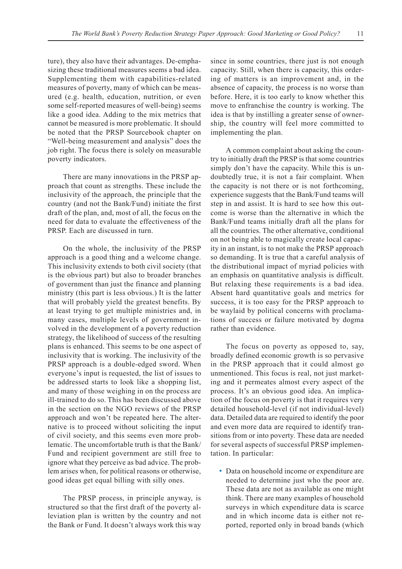ture), they also have their advantages. De-emphasizing these traditional measures seems a bad idea. Supplementing them with capabilities-related measures of poverty, many of which can be measured (e.g. health, education, nutrition, or even some self-reported measures of well-being) seems like a good idea. Adding to the mix metrics that cannot be measured is more problematic. It should be noted that the PRSP Sourcebook chapter on "Well-being measurement and analysis" does the job right. The focus there is solely on measurable poverty indicators.

There are many innovations in the PRSP approach that count as strengths. These include the inclusivity of the approach, the principle that the country (and not the Bank/Fund) initiate the first draft of the plan, and, most of all, the focus on the need for data to evaluate the effectiveness of the PRSP. Each are discussed in turn.

On the whole, the inclusivity of the PRSP approach is a good thing and a welcome change. This inclusivity extends to both civil society (that is the obvious part) but also to broader branches of government than just the finance and planning ministry (this part is less obvious.) It is the latter that will probably yield the greatest benefits. By at least trying to get multiple ministries and, in many cases, multiple levels of government involved in the development of a poverty reduction strategy, the likelihood of success of the resulting plans is enhanced. This seems to be one aspect of inclusivity that is working. The inclusivity of the PRSP approach is a double-edged sword. When everyone's input is requested, the list of issues to be addressed starts to look like a shopping list, and many of those weighing in on the process are ill-trained to do so. This has been discussed above in the section on the NGO reviews of the PRSP approach and won't be repeated here. The alternative is to proceed without soliciting the input of civil society, and this seems even more problematic. The uncomfortable truth is that the Bank/ Fund and recipient government are still free to ignore what they perceive as bad advice. The problem arises when, for political reasons or otherwise, good ideas get equal billing with silly ones.

The PRSP process, in principle anyway, is structured so that the first draft of the poverty alleviation plan is written by the country and not the Bank or Fund. It doesn't always work this way since in some countries, there just is not enough capacity. Still, when there is capacity, this ordering of matters is an improvement and, in the absence of capacity, the process is no worse than before. Here, it is too early to know whether this move to enfranchise the country is working. The idea is that by instilling a greater sense of ownership, the country will feel more committed to implementing the plan.

A common complaint about asking the country to initially draft the PRSP is that some countries simply don't have the capacity. While this is undoubtedly true, it is not a fair complaint. When the capacity is not there or is not forthcoming, experience suggests that the Bank/Fund teams will step in and assist. It is hard to see how this outcome is worse than the alternative in which the Bank/Fund teams initially draft all the plans for all the countries. The other alternative, conditional on not being able to magically create local capacity in an instant, is to not make the PRSP approach so demanding. It is true that a careful analysis of the distributional impact of myriad policies with an emphasis on quantitative analysis is difficult. But relaxing these requirements is a bad idea. Absent hard quantitative goals and metrics for success, it is too easy for the PRSP approach to be waylaid by political concerns with proclamations of success or failure motivated by dogma rather than evidence.

The focus on poverty as opposed to, say, broadly defined economic growth is so pervasive in the PRSP approach that it could almost go unmentioned. This focus is real, not just marketing and it permeates almost every aspect of the process. It's an obvious good idea. An implication of the focus on poverty is that it requires very detailed household-level (if not individual-level) data. Detailed data are required to identify the poor and even more data are required to identify transitions from or into poverty. These data are needed for several aspects of successful PRSP implementation. In particular:

• Data on household income or expenditure are needed to determine just who the poor are. These data are not as available as one might think. There are many examples of household surveys in which expenditure data is scarce and in which income data is either not reported, reported only in broad bands (which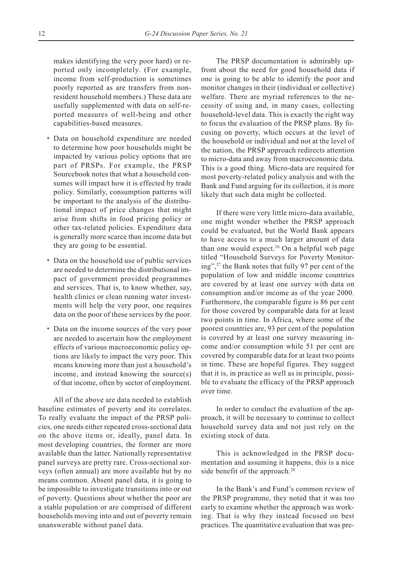makes identifying the very poor hard) or reported only incompletely. (For example, income from self-production is sometimes poorly reported as are transfers from nonresident household members.) These data are usefully supplemented with data on self-reported measures of well-being and other capabilities-based measures.

- Data on household expenditure are needed to determine how poor households might be impacted by various policy options that are part of PRSPs. For example, the PRSP Sourcebook notes that what a household consumes will impact how it is effected by trade policy. Similarly, consumption patterns will be important to the analysis of the distributional impact of price changes that might arise from shifts in food pricing policy or other tax-related policies. Expenditure data is generally more scarce than income data but they are going to be essential.
- Data on the household use of public services are needed to determine the distributional impact of government provided programmes and services. That is, to know whether, say, health clinics or clean running water investments will help the very poor, one requires data on the poor of these services by the poor.
- Data on the income sources of the very poor are needed to ascertain how the employment effects of various macroeconomic policy options are likely to impact the very poor. This means knowing more than just a household's income, and instead knowing the source(s) of that income, often by sector of employment.

All of the above are data needed to establish baseline estimates of poverty and its correlates. To really evaluate the impact of the PRSP policies, one needs either repeated cross-sectional data on the above items or, ideally, panel data. In most developing countries, the former are more available than the latter. Nationally representative panel surveys are pretty rare. Cross-sectional surveys (often annual) are more available but by no means common. Absent panel data, it is going to be impossible to investigate transitions into or out of poverty. Questions about whether the poor are a stable population or are comprised of different households moving into and out of poverty remain unanswerable without panel data.

The PRSP documentation is admirably upfront about the need for good household data if one is going to be able to identify the poor and monitor changes in their (individual or collective) welfare. There are myriad references to the necessity of using and, in many cases, collecting household-level data. This is exactly the right way to focus the evaluation of the PRSP plans. By focusing on poverty, which occurs at the level of the household or individual and not at the level of the nation, the PRSP approach redirects attention to micro-data and away from macroeconomic data. This is a good thing. Micro-data are required for most poverty-related policy analysis and with the Bank and Fund arguing for its collection, it is more likely that such data might be collected.

If there were very little micro-data available, one might wonder whether the PRSP approach could be evaluated, but the World Bank appears to have access to a much larger amount of data than one would expect.<sup>26</sup> On a helpful web page titled "Household Surveys for Poverty Monitoring",27 the Bank notes that fully 97 per cent of the population of low and middle income countries are covered by at least one survey with data on consumption and/or income as of the year 2000. Furthermore, the comparable figure is 86 per cent for those covered by comparable data for at least two points in time. In Africa, where some of the poorest countries are, 93 per cent of the population is covered by at least one survey measuring income and/or consumption while 51 per cent are covered by comparable data for at least two points in time. These are hopeful figures. They suggest that it is, in practice as well as in principle, possible to evaluate the efficacy of the PRSP approach over time.

In order to conduct the evaluation of the approach, it will be necessary to continue to collect household survey data and not just rely on the existing stock of data.

This is acknowledged in the PRSP documentation and assuming it happens, this is a nice side benefit of the approach.<sup>28</sup>

In the Bank's and Fund's common review of the PRSP programme, they noted that it was too early to examine whether the approach was working. That is why they instead focused on best practices. The quantitative evaluation that was pre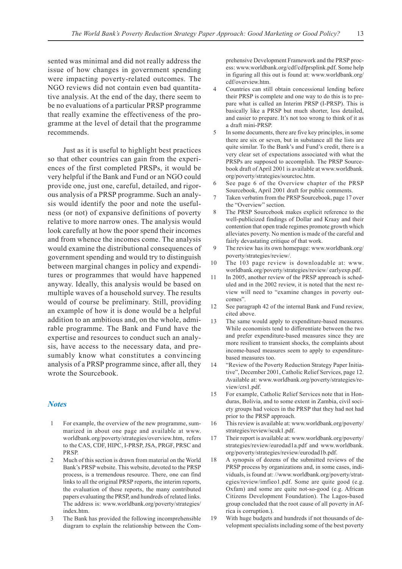sented was minimal and did not really address the issue of how changes in government spending were impacting poverty-related outcomes. The NGO reviews did not contain even bad quantitative analysis. At the end of the day, there seem to be no evaluations of a particular PRSP programme that really examine the effectiveness of the programme at the level of detail that the programme recommends.

Just as it is useful to highlight best practices so that other countries can gain from the experiences of the first completed PRSPs, it would be very helpful if the Bank and Fund or an NGO could provide one, just one, careful, detailed, and rigorous analysis of a PRSP programme. Such an analysis would identify the poor and note the usefulness (or not) of expansive definitions of poverty relative to more narrow ones. The analysis would look carefully at how the poor spend their incomes and from whence the incomes come. The analysis would examine the distributional consequences of government spending and would try to distinguish between marginal changes in policy and expenditures or programmes that would have happened anyway. Ideally, this analysis would be based on multiple waves of a household survey. The results would of course be preliminary. Still, providing an example of how it is done would be a helpful addition to an ambitious and, on the whole, admirable programme. The Bank and Fund have the expertise and resources to conduct such an analysis, have access to the necessary data, and presumably know what constitutes a convincing analysis of a PRSP programme since, after all, they wrote the Sourcebook.

### *Notes*

- 1 For example, the overview of the new programme, summarized in about one page and available at www. worldbank.org/poverty/strategies/overview.htm, refers to the CAS, CDF, HIPC, I-PRSP, JSA, PRGF, PRSC and PRSP.
- 2 Much of this section is drawn from material on the World Bank's PRSP website. This website, devoted to the PRSP process, is a tremendous resource. There, one can find links to all the original PRSP reports, the interim reports, the evaluation of these reports, the many contributed papers evaluating the PRSP, and hundreds of related links. The address is: www.worldbank.org/poverty/strategies/ index.htm.
- 3 The Bank has provided the following incomprehensible diagram to explain the relationship between the Com-

prehensive Development Framework and the PRSP process: www.worldbank.org/cdf/cdfprsplink.pdf. Some help in figuring all this out is found at: www.worldbank.org/ cdf/overview.htm.

- Countries can still obtain concessional lending before their PRSP is complete and one way to do this is to prepare what is called an Interim PRSP (I-PRSP). This is basically like a PRSP but much shorter, less detailed, and easier to prepare. It's not too wrong to think of it as a draft mini-PRSP.
- In some documents, there are five key principles, in some there are six or seven, but in substance all the lists are quite similar. To the Bank's and Fund's credit, there is a very clear set of expectations associated with what the PRSPs are supposed to accomplish. The PRSP Sourcebook draft of April 2001 is available at www.worldbank. org/poverty/strategies/sourctoc.htm.
- See page 6 of the Overview chapter of the PRSP Sourcebook, April 2001 draft for public comments.
- 7 Taken verbatim from the PRSP Sourcebook, page 17 over the "Overview" section.
- 8 The PRSP Sourcebook makes explicit reference to the well-publicized findings of Dollar and Kraay and their contention that open trade regimes promote growth which alleviates poverty. No mention is made of the careful and fairly devastating critique of that work.
- 9 The review has its own homepage: www.worldbank.org/ poverty/strategies/review/.
- 10 The 103 page review is downloadable at: www. worldbank.org/poverty/strategies/review/ earlyexp.pdf.
- 11 In 2005, another review of the PRSP approach is scheduled and in the 2002 review, it is noted that the next review will need to "examine changes in poverty outcomes".
- 12 See paragraph 42 of the internal Bank and Fund review, cited above.
- 13 The same would apply to expenditure-based measures. While economists tend to differentiate between the two and prefer expenditure-based measures since they are more resilient to transient shocks, the complaints about income-based measures seem to apply to expenditurebased measures too.
- 14 "Review of the Poverty Reduction Strategy Paper Initiative", December 2001, Catholic Relief Services, page 12. Available at: www.worldbank.org/poverty/strategies/review/crs1.pdf.
- 15 For example, Catholic Relief Services note that in Honduras, Bolivia, and to some extent in Zambia, civil society groups had voices in the PRSP that they had not had prior to the PRSP approach.
- 16 This review is available at: www.worldbank.org/poverty/ strategies/review/scuk1.pdf.
- 17 Their report is available at: www.worldbank.org/poverty/ strategies/review/eurodad1a.pdf and www.worldbank. org/poverty/strategies/review/eurodad1b.pdf.
- 18 A synopsis of dozens of the submitted reviews of the PRSP process by organizations and, in some cases, individuals, is found at: //www.worldbank.org/poverty/strategies/review/imfieo1.pdf. Some are quite good (e.g. Oxfam) and some are quite not-so-good (e.g. African Citizens Development Foundation). The Lagos-based group concluded that the root cause of all poverty in Africa is corruption.).
- 19 With huge budgets and hundreds if not thousands of development specialists including some of the best poverty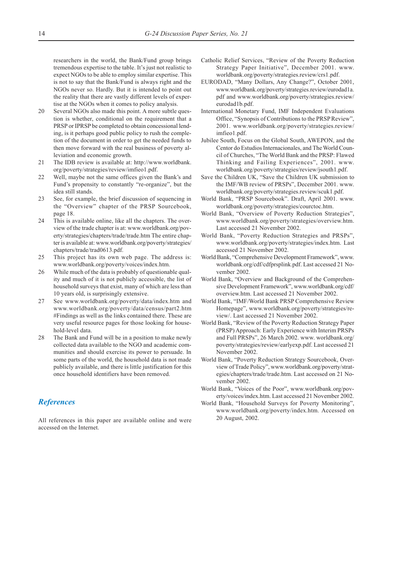researchers in the world, the Bank/Fund group brings tremendous expertise to the table. It's just not realistic to expect NGOs to be able to employ similar expertise. This is not to say that the Bank/Fund is always right and the NGOs never so. Hardly. But it is intended to point out the reality that there are vastly different levels of expertise at the NGOs when it comes to policy analysis.

- 20 Several NGOs also made this point. A more subtle question is whether, conditional on the requirement that a PRSP or IPRSP be completed to obtain concessional lending, is it perhaps good public policy to rush the completion of the document in order to get the needed funds to then move forward with the real business of poverty alleviation and economic growth.
- 21 The IDB review is available at: http://www.worldbank. org/poverty/strategies/review/imfieo1.pdf.
- 22 Well, maybe not the same offices given the Bank's and Fund's propensity to constantly "re-organize", but the idea still stands.
- 23 See, for example, the brief discussion of sequencing in the "Overview" chapter of the PRSP Sourcebook, page 18.
- 24 This is available online, like all the chapters. The overview of the trade chapter is at: www.worldbank.org/poverty/strategies/chapters/trade/trade.htm The entire chapter is available at: www.worldbank.org/poverty/strategies/ chapters/trade/trad0613.pdf.
- 25 This project has its own web page. The address is: www.worldbank.org/poverty/voices/index.htm.
- 26 While much of the data is probably of questionable quality and much of it is not publicly accessible, the list of household surveys that exist, many of which are less than 10 years old, is surprisingly extensive.
- 27 See www.worldbank.org/poverty/data/index.htm and www.worldbank.org/poverty/data/census/part2.htm #Findings as well as the links contained there. These are very useful resource pages for those looking for household-level data.
- 28 The Bank and Fund will be in a position to make newly collected data available to the NGO and academic communities and should exercise its power to persuade. In some parts of the world, the household data is not made publicly available, and there is little justification for this once household identifiers have been removed.

### *References*

All references in this paper are available online and were accessed on the Internet.

- Catholic Relief Services, "Review of the Poverty Reduction Strategy Paper Initiative", December 2001. www. worldbank.org/poverty/strategies.review/crs1.pdf.
- EURODAD, "Many Dollars, Any Change?", October 2001, www.worldbank.org/poverty/strategies.review/eurodad1a. pdf and www.worldbank.org/poverty/strategies.review/ eurodad1b.pdf.
- International Monetary Fund, IMF Independent Evaluations Office, "Synopsis of Contributions to the PRSP Review", 2001. www.worldbank.org/poverty/strategies.review/ imfieo1.pdf
- Jubilee South, Focus on the Global South, AWEPON, and the Centor do Estudios Internacionales, and The World Council of Churches, "The World Bank and the PRSP: Flawed Thinking and Failing Experiences", 2001. www. worldbank.org/poverty/strategies/review/jsouth1.pdf.
- Save the Children UK, "Save the Children UK submission to the IMF/WB review of PRSPs", December 2001. www. worldbank.org/poverty/strategies.review/scuk1.pdf.
- World Bank, "PRSP Sourcebook". Draft, April 2001. www. worldbank.org/poverty/strategies/courctoc.htm.
- World Bank, "Overview of Poverty Reduction Strategies", www.worldbank.org/poverty/strategies/overview.htm. Last accessed 21 November 2002.
- World Bank, "Poverty Reduction Strategies and PRSPs", www.worldbank.org/poverty/strategies/index.htm. Last accessed 21 November 2002.
- World Bank, "Comprehensive Development Framework", www. worldbank.org/cdf/cdfprsplink.pdf. Last accessed 21 November 2002.
- World Bank, "Overview and Background of the Comprehensive Development Framework", www.worldbank.org/cdf/ overview.htm. Last accessed 21 November 2002.
- World Bank, "IMF/World Bank PRSP Comprehensive Review Homepage", www.worldbank.org/poverty/strategies/review/. Last accessed 21 November 2002.
- World Bank, "Review of the Poverty Reduction Strategy Paper (PRSP) Approach: Early Experience with Interim PRSPs and Full PRSPs", 26 March 2002. www. worldbank.org/ poverty/strategies/review/earlyexp.pdf. Last accessed 21 November 2002.
- World Bank, "Poverty Reduction Strategy Sourcebook, Overview of Trade Policy", www.worldbank.org/poverty/strategies/chapters/trade/trade.htm. Last accessed on 21 November 2002.
- World Bank, "Voices of the Poor", www.worldbank.org/poverty/voices/index.htm. Last accessed 21 November 2002.
- World Bank, "Household Surveys for Poverty Monitoring", www.worldbank.org/poverty/index.htm. Accessed on 20 August, 2002.